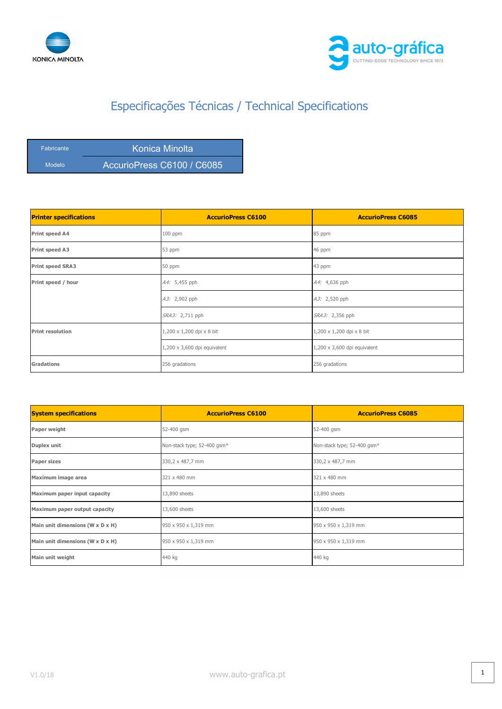



| Fabricante | Konica Minolta             |
|------------|----------------------------|
| Modelo     | AccurioPress C6100 / C6085 |

| <b>Printer specifications</b> | <b>AccurioPress C6100</b>           | <b>AccurioPress C6085</b>           |
|-------------------------------|-------------------------------------|-------------------------------------|
| Print speed A4                | 100 ppm                             | 85 ppm                              |
| Print speed A3                | 53 ppm                              | 46 ppm                              |
| <b>Print speed SRA3</b>       | 50 ppm                              | 43 ppm                              |
| Print speed / hour            | A4: 5,455 pph                       | A4: 4,636 pph                       |
|                               | A3: 2,902 pph                       | A3: 2,520 pph                       |
|                               | SRA3: 2,711 pph                     | SRA3: 2,356 pph                     |
| <b>Print resolution</b>       | 1,200 x 1,200 dpi x 8 bit           | 1,200 x 1,200 dpi x 8 bit           |
|                               | $1,200 \times 3,600$ dpi equivalent | $1,200 \times 3,600$ dpi equivalent |
| <b>Gradations</b>             | 256 gradations                      | 256 gradations                      |

| <b>System specifications</b>     | <b>AccurioPress C6100</b>   | <b>AccurioPress C6085</b>   |
|----------------------------------|-----------------------------|-----------------------------|
| Paper weight                     | 52-400 gsm                  | 52-400 gsm                  |
| Duplex unit                      | Non-stack type; 52-400 gsm* | Non-stack type; 52-400 gsm* |
| <b>Paper sizes</b>               | 330,2 x 487,7 mm            | 330,2 x 487,7 mm            |
| Maximum image area               | 321 x 480 mm                | 321 x 480 mm                |
| Maximum paper input capacity     | 13,890 sheets               | 13,890 sheets               |
| Maximum paper output capacity    | 13,600 sheets               | 13,600 sheets               |
| Main unit dimensions (W x D x H) | 950 x 950 x 1,319 mm        | 950 x 950 x 1,319 mm        |
| Main unit dimensions (W x D x H) | 950 x 950 x 1,319 mm        | 950 x 950 x 1,319 mm        |
| Main unit weight                 | 440 kg                      | 440 kg                      |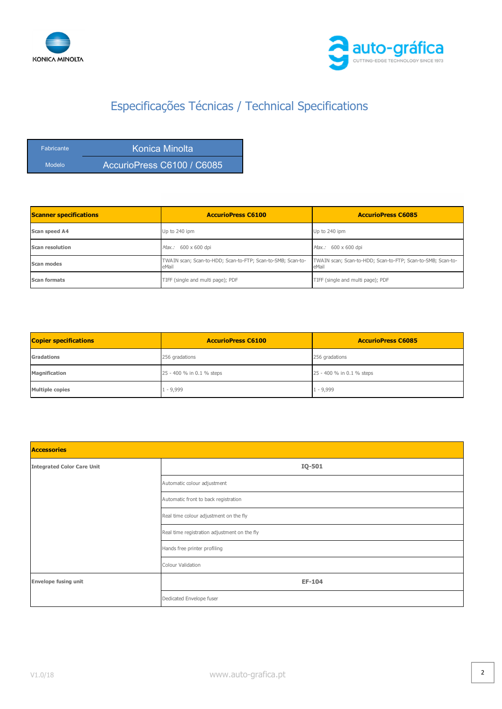



| <b>Fabricante</b> | Konica Minolta             |
|-------------------|----------------------------|
| <b>Modelo</b>     | AccurioPress C6100 / C6085 |

| <b>Scanner specifications</b> | <b>AccurioPress C6100</b>                                            | <b>AccurioPress C6085</b>                                            |
|-------------------------------|----------------------------------------------------------------------|----------------------------------------------------------------------|
| Scan speed A4                 | Up to 240 ipm                                                        | Up to 240 ipm                                                        |
| Scan resolution               | Max.: 600 x 600 dpi                                                  | Max.: 600 x 600 dpi                                                  |
| Scan modes                    | TWAIN scan; Scan-to-HDD; Scan-to-FTP; Scan-to-SMB; Scan-to-<br>eMail | TWAIN scan; Scan-to-HDD; Scan-to-FTP; Scan-to-SMB; Scan-to-<br>eMail |
| <b>Scan formats</b>           | TIFF (single and multi page); PDF                                    | TIFF (single and multi page); PDF                                    |

| <b>Copier specifications</b> | <b>AccurioPress C6100</b> | <b>AccurioPress C6085</b> |
|------------------------------|---------------------------|---------------------------|
| Gradations                   | 256 gradations            | 256 gradations            |
| <b>Magnification</b>         | 25 - 400 % in 0.1 % steps | 25 - 400 % in 0.1 % steps |
| Multiple copies              | $1 - 9,999$               | $1 - 9,999$               |

| <b>Accessories</b>                |                                              |  |
|-----------------------------------|----------------------------------------------|--|
| <b>Integrated Color Care Unit</b> | IQ-501                                       |  |
|                                   | Automatic colour adjustment                  |  |
|                                   | Automatic front to back registration         |  |
|                                   | Real time colour adjustment on the fly       |  |
|                                   | Real time registration adjustment on the fly |  |
|                                   | Hands free printer profiling                 |  |
|                                   | Colour Validation                            |  |
| <b>Envelope fusing unit</b>       | EF-104                                       |  |
|                                   | Dedicated Envelope fuser                     |  |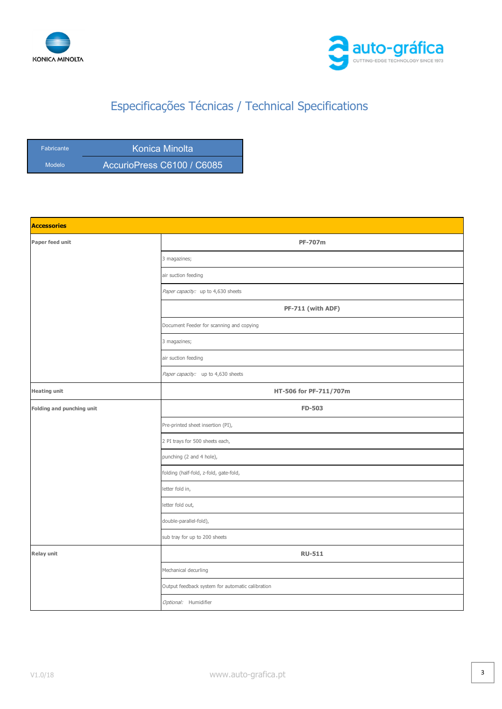



| <b>Fabricante</b> | Konica Minolta             |
|-------------------|----------------------------|
| Modelo            | AccurioPress C6100 / C6085 |

| <b>Accessories</b>        |                                                  |
|---------------------------|--------------------------------------------------|
| Paper feed unit           | <b>PF-707m</b>                                   |
|                           | 3 magazines;                                     |
|                           | air suction feeding                              |
|                           | Paper capacity: up to 4,630 sheets               |
|                           | PF-711 (with ADF)                                |
|                           | Document Feeder for scanning and copying         |
|                           | 3 magazines;                                     |
|                           | air suction feeding                              |
|                           | Paper capacity: up to 4,630 sheets               |
| <b>Heating unit</b>       | HT-506 for PF-711/707m                           |
| Folding and punching unit | <b>FD-503</b>                                    |
|                           | Pre-printed sheet insertion (PI),                |
|                           | 2 PI trays for 500 sheets each,                  |
|                           | punching (2 and 4 hole),                         |
|                           | folding (half-fold, z-fold, gate-fold,           |
|                           | letter fold in,                                  |
|                           | letter fold out,                                 |
|                           | double-parallel-fold),                           |
|                           | sub tray for up to 200 sheets                    |
| <b>Relay unit</b>         | <b>RU-511</b>                                    |
|                           | Mechanical decurling                             |
|                           | Output feedback system for automatic calibration |
|                           | Optional: Humidifier                             |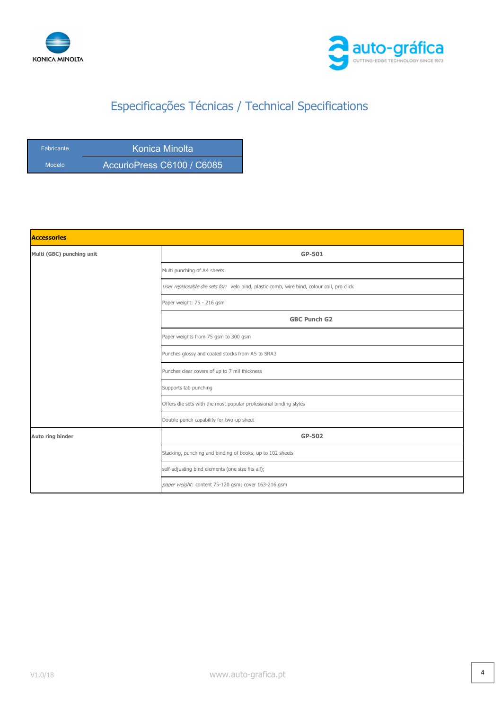



| <b>Fabricante</b> | Konica Minolta             |
|-------------------|----------------------------|
| Modelo            | AccurioPress C6100 / C6085 |

| <b>Accessories</b>        |                                                                                           |  |
|---------------------------|-------------------------------------------------------------------------------------------|--|
| Multi (GBC) punching unit | GP-501                                                                                    |  |
|                           | Multi punching of A4 sheets                                                               |  |
|                           | User replaceable die sets for: velo bind, plastic comb, wire bind, colour coil, pro click |  |
|                           | Paper weight: 75 - 216 gsm                                                                |  |
|                           | <b>GBC Punch G2</b>                                                                       |  |
|                           | Paper weights from 75 gsm to 300 gsm                                                      |  |
|                           | Punches glossy and coated stocks from A5 to SRA3                                          |  |
|                           | Punches clear covers of up to 7 mil thickness                                             |  |
|                           | Supports tab punching                                                                     |  |
|                           | Offers die sets with the most popular professional binding styles                         |  |
|                           | Double-punch capability for two-up sheet                                                  |  |
| Auto ring binder          | GP-502                                                                                    |  |
|                           | Stacking, punching and binding of books, up to 102 sheets                                 |  |
|                           | self-adjusting bind elements (one size fits all);                                         |  |
|                           | paper weight: content 75-120 gsm; cover 163-216 gsm                                       |  |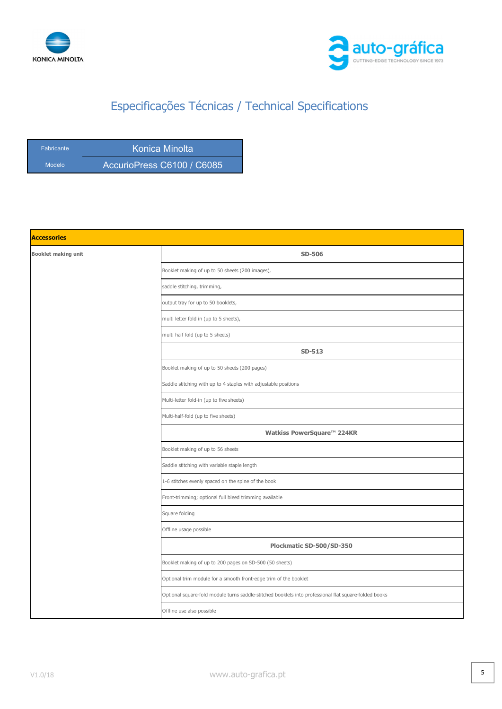



| <b>Fabricante</b> | Konica Minolta             |
|-------------------|----------------------------|
| Modelo            | AccurioPress C6100 / C6085 |

| <b>Accessories</b>         |                                                                                                       |
|----------------------------|-------------------------------------------------------------------------------------------------------|
| <b>Booklet making unit</b> | <b>SD-506</b>                                                                                         |
|                            | Booklet making of up to 50 sheets (200 images),                                                       |
|                            | saddle stitching, trimming,                                                                           |
|                            | output tray for up to 50 booklets,                                                                    |
|                            | multi letter fold in (up to 5 sheets),                                                                |
|                            | multi half fold (up to 5 sheets)                                                                      |
|                            | SD-513                                                                                                |
|                            | Booklet making of up to 50 sheets (200 pages)                                                         |
|                            | Saddle stitching with up to 4 staples with adjustable positions                                       |
|                            | Multi-letter fold-in (up to five sheets)                                                              |
|                            | Multi-half-fold (up to five sheets)                                                                   |
|                            | Watkiss PowerSquare™ 224KR                                                                            |
|                            | Booklet making of up to 56 sheets                                                                     |
|                            | Saddle stitching with variable staple length                                                          |
|                            | 1-6 stitches evenly spaced on the spine of the book                                                   |
|                            | Front-trimming; optional full bleed trimming available                                                |
|                            | Square folding                                                                                        |
|                            | Offline usage possible                                                                                |
|                            | Plockmatic SD-500/SD-350                                                                              |
|                            | Booklet making of up to 200 pages on SD-500 (50 sheets)                                               |
|                            | Optional trim module for a smooth front-edge trim of the booklet                                      |
|                            | Optional square-fold module turns saddle-stitched booklets into professional flat square-folded books |
|                            | Offline use also possible                                                                             |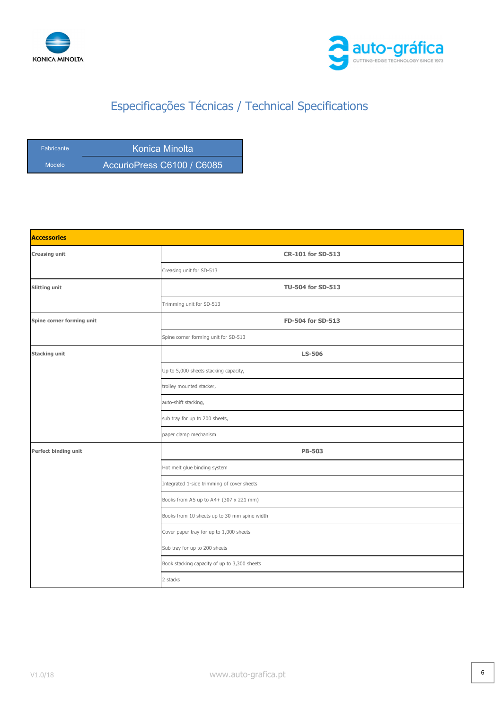



| <b>Fabricante</b> | Konica Minolta             |
|-------------------|----------------------------|
| Modelo            | AccurioPress C6100 / C6085 |

| <b>Accessories</b>        |                                              |
|---------------------------|----------------------------------------------|
| <b>Creasing unit</b>      | <b>CR-101 for SD-513</b>                     |
|                           | Creasing unit for SD-513                     |
| <b>Slitting unit</b>      | <b>TU-504 for SD-513</b>                     |
|                           | Trimming unit for SD-513                     |
| Spine corner forming unit | FD-504 for SD-513                            |
|                           | Spine corner forming unit for SD-513         |
| <b>Stacking unit</b>      | <b>LS-506</b>                                |
|                           | Up to 5,000 sheets stacking capacity,        |
|                           | trolley mounted stacker,                     |
|                           | auto-shift stacking,                         |
|                           | sub tray for up to 200 sheets,               |
|                           | paper clamp mechanism                        |
| Perfect binding unit      | <b>PB-503</b>                                |
|                           | Hot melt glue binding system                 |
|                           | Integrated 1-side trimming of cover sheets   |
|                           | Books from A5 up to A4+ (307 x 221 mm)       |
|                           | Books from 10 sheets up to 30 mm spine width |
|                           | Cover paper tray for up to 1,000 sheets      |
|                           | Sub tray for up to 200 sheets                |
|                           | Book stacking capacity of up to 3,300 sheets |
|                           | 2 stacks                                     |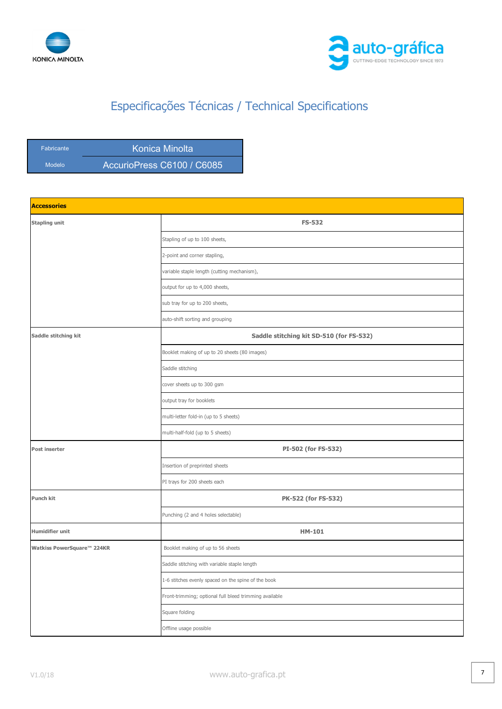



Fabricante **Konica Minolta** Modelo **AccurioPress C6100 / C6085** 

| <b>Accessories</b>         |                                                        |
|----------------------------|--------------------------------------------------------|
| <b>Stapling unit</b>       | <b>FS-532</b>                                          |
|                            | Stapling of up to 100 sheets,                          |
|                            | 2-point and corner stapling,                           |
|                            | variable staple length (cutting mechanism),            |
|                            | output for up to 4,000 sheets,                         |
|                            | sub tray for up to 200 sheets,                         |
|                            | auto-shift sorting and grouping                        |
| Saddle stitching kit       | Saddle stitching kit SD-510 (for FS-532)               |
|                            | Booklet making of up to 20 sheets (80 images)          |
|                            | Saddle stitching                                       |
|                            | cover sheets up to 300 gsm                             |
|                            | output tray for booklets                               |
|                            | multi-letter fold-in (up to 5 sheets)                  |
|                            | multi-half-fold (up to 5 sheets)                       |
| Post inserter              | PI-502 (for FS-532)                                    |
|                            | Insertion of preprinted sheets                         |
|                            | PI trays for 200 sheets each                           |
| Punch kit                  | PK-522 (for FS-532)                                    |
|                            | Punching (2 and 4 holes selectable)                    |
| <b>Humidifier unit</b>     | <b>HM-101</b>                                          |
| Watkiss PowerSquare™ 224KR | Booklet making of up to 56 sheets                      |
|                            | Saddle stitching with variable staple length           |
|                            | 1-6 stitches evenly spaced on the spine of the book    |
|                            | Front-trimming; optional full bleed trimming available |
|                            | Square folding                                         |
|                            | Offline usage possible                                 |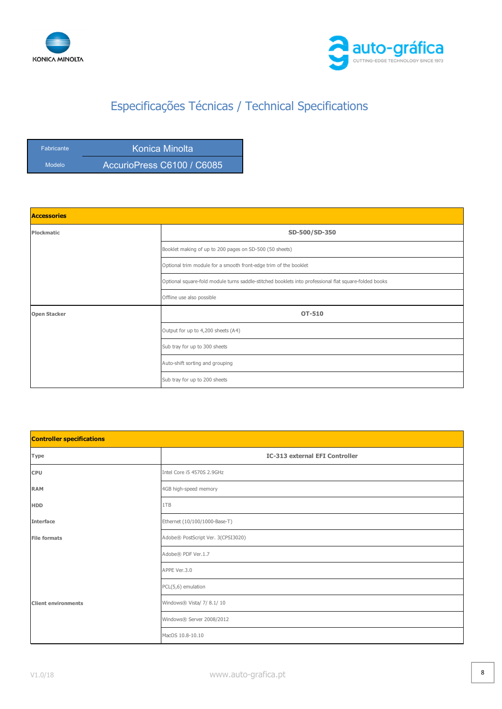



| <b>Fabricante</b> | Konica Minolta             |
|-------------------|----------------------------|
| Modelo            | AccurioPress C6100 / C6085 |

| <b>Accessories</b>  |                                                                                                       |
|---------------------|-------------------------------------------------------------------------------------------------------|
| Plockmatic          | SD-500/SD-350                                                                                         |
|                     | Booklet making of up to 200 pages on SD-500 (50 sheets)                                               |
|                     | Optional trim module for a smooth front-edge trim of the booklet                                      |
|                     | Optional square-fold module turns saddle-stitched booklets into professional flat square-folded books |
|                     | Offline use also possible                                                                             |
| <b>Open Stacker</b> | <b>OT-510</b>                                                                                         |
|                     | Output for up to 4,200 sheets (A4)                                                                    |
|                     | Sub tray for up to 300 sheets                                                                         |
|                     | Auto-shift sorting and grouping                                                                       |
|                     | Sub tray for up to 200 sheets                                                                         |

| <b>Controller specifications</b> |                                       |
|----------------------------------|---------------------------------------|
| Type                             | <b>IC-313 external EFI Controller</b> |
| <b>CPU</b>                       | Intel Core i5 4570S 2.9GHz            |
| <b>RAM</b>                       | 4GB high-speed memory                 |
| <b>HDD</b>                       | 1TB                                   |
| <b>Interface</b>                 | Ethernet (10/100/1000-Base-T)         |
| <b>File formats</b>              | Adobe® PostScript Ver. 3(CPSI3020)    |
|                                  | Adobe® PDF Ver.1.7                    |
|                                  | APPE Ver.3.0                          |
|                                  | PCL(5,6) emulation                    |
| <b>Client environments</b>       | Windows® Vista/ 7/ 8.1/ 10            |
|                                  | Windows® Server 2008/2012             |
|                                  | MacOS 10.8-10.10                      |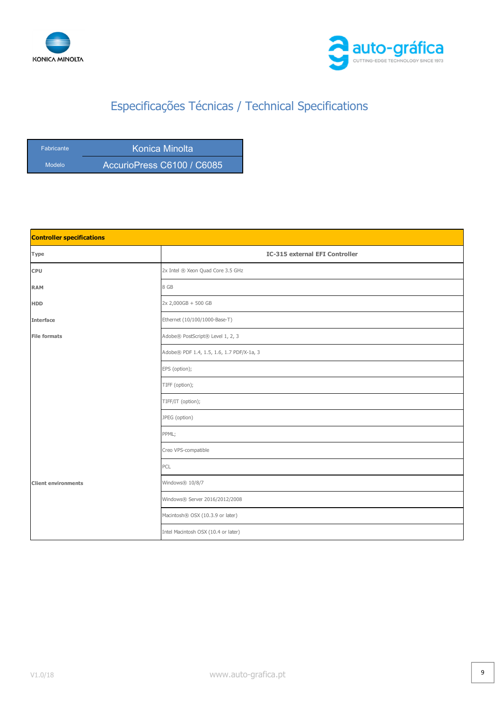



| <b>Fabricante</b> | Konica Minolta             |
|-------------------|----------------------------|
| Modelo            | AccurioPress C6100 / C6085 |

| <b>Controller specifications</b> |                                           |
|----------------------------------|-------------------------------------------|
| Type                             | <b>IC-315 external EFI Controller</b>     |
| CPU                              | 2x Intel ® Xeon Quad Core 3.5 GHz         |
| <b>RAM</b>                       | 8 GB                                      |
| <b>HDD</b>                       | 2x 2,000GB + 500 GB                       |
| <b>Interface</b>                 | Ethernet (10/100/1000-Base-T)             |
| <b>File formats</b>              | Adobe® PostScript® Level 1, 2, 3          |
|                                  | Adobe® PDF 1.4, 1.5, 1.6, 1.7 PDF/X-1a, 3 |
|                                  | EPS (option);                             |
|                                  | TIFF (option);                            |
|                                  | TIFF/IT (option);                         |
|                                  | JPEG (option)                             |
|                                  | PPML;                                     |
|                                  | Creo VPS-compatible                       |
|                                  | PCL                                       |
| <b>Client environments</b>       | Windows® 10/8/7                           |
|                                  | Windows® Server 2016/2012/2008            |
|                                  | Macintosh® OSX (10.3.9 or later)          |
|                                  | Intel Macintosh OSX (10.4 or later)       |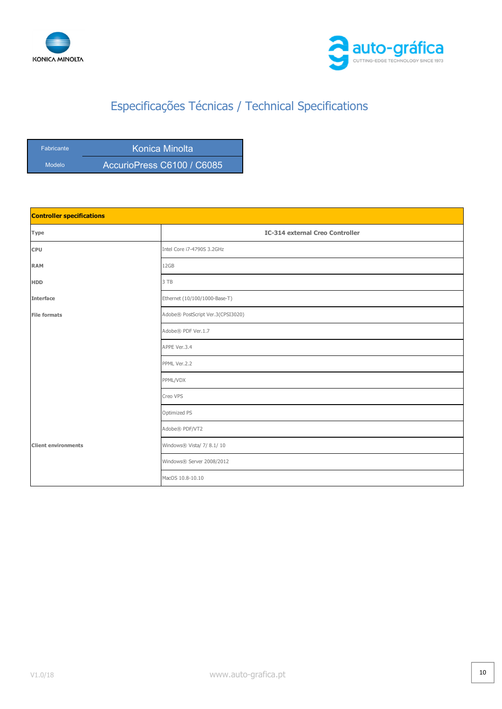



| <b>Fabricante</b> | Konica Minolta             |
|-------------------|----------------------------|
| Modelo            | AccurioPress C6100 / C6085 |

| <b>Controller specifications</b> |                                        |
|----------------------------------|----------------------------------------|
| Type                             | <b>IC-314 external Creo Controller</b> |
| <b>CPU</b>                       | Intel Core i7-4790S 3.2GHz             |
| <b>RAM</b>                       | 12GB                                   |
| <b>HDD</b>                       | 3 TB                                   |
| <b>Interface</b>                 | Ethernet (10/100/1000-Base-T)          |
| <b>File formats</b>              | Adobe® PostScript Ver.3(CPSI3020)      |
|                                  | Adobe® PDF Ver.1.7                     |
|                                  | APPE Ver.3.4                           |
|                                  | PPML Ver.2.2                           |
|                                  | PPML/VDX                               |
|                                  | Creo VPS                               |
|                                  | Optimized PS                           |
|                                  | Adobe® PDF/VT2                         |
| <b>Client environments</b>       | Windows® Vista/ 7/ 8.1/ 10             |
|                                  | Windows® Server 2008/2012              |
|                                  | MacOS 10.8-10.10                       |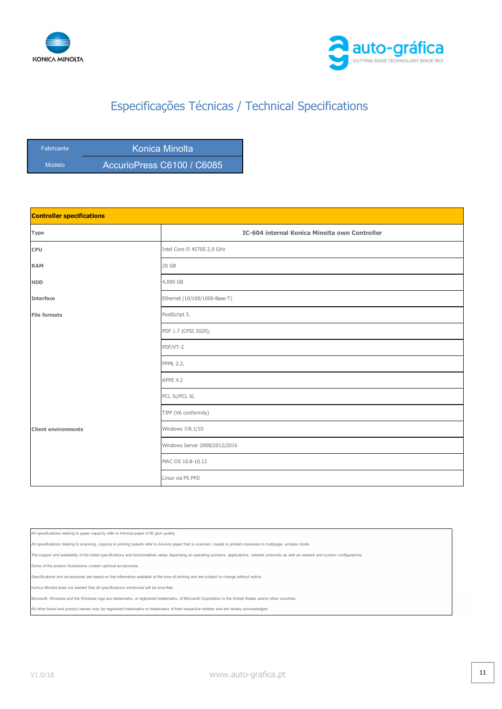



| <b>Fabricante</b> | Konica Minolta             |
|-------------------|----------------------------|
| Modelo            | AccurioPress C6100 / C6085 |

| <b>Controller specifications</b> |                                               |
|----------------------------------|-----------------------------------------------|
| Type                             | IC-604 internal Konica Minolta own Controller |
| <b>CPU</b>                       | Intel Core i5 4570S 2,9 GHz                   |
| <b>RAM</b>                       | 20 GB                                         |
| <b>HDD</b>                       | 4,000 GB                                      |
| <b>Interface</b>                 | Ethernet (10/100/1000-Base-T)                 |
| <b>File formats</b>              | PostScript 3,                                 |
|                                  | PDF 1.7 (CPSI 3020),                          |
|                                  | PDF/VT-2                                      |
|                                  | <b>PPML 2.2,</b>                              |
|                                  | APPE 4.2                                      |
|                                  | PCL 5c/PCL XL                                 |
|                                  | TIFF (V6 conformity)                          |
| <b>Client environments</b>       | Windows 7/8.1/10                              |
|                                  | Windows Server 2008/2012/2016                 |
|                                  | MAC OS 10.8-10.12                             |
|                                  | Linux via PS PPD                              |

All specifications relating to paper capacity refer to A4-size paper of 80 gsm quality.

All specifications relating to scanning, copying or printing speeds refer to A4-size paper that is scanned, copied or printed crosswise in multipage, simplex mode.

The support and availability of the listed specifications and functionalities varies depending on operating systems, applications, network protocols as well as network and system configurations.

Some of the product illustrations contain optional accessories

and accessories are based on the information available at the time of printing and are subject to change without notice

Konica Minolta does not warrant that all specifications mentioned will be error-free.

osoft, Windows and the Windows logo are trademarks, or registered trademarks, of Microsoft Corporation in the United States and/or other countries

All other brand and product names may be registered trademarks or trademarks of their respective holders and are hereby acknowledged.